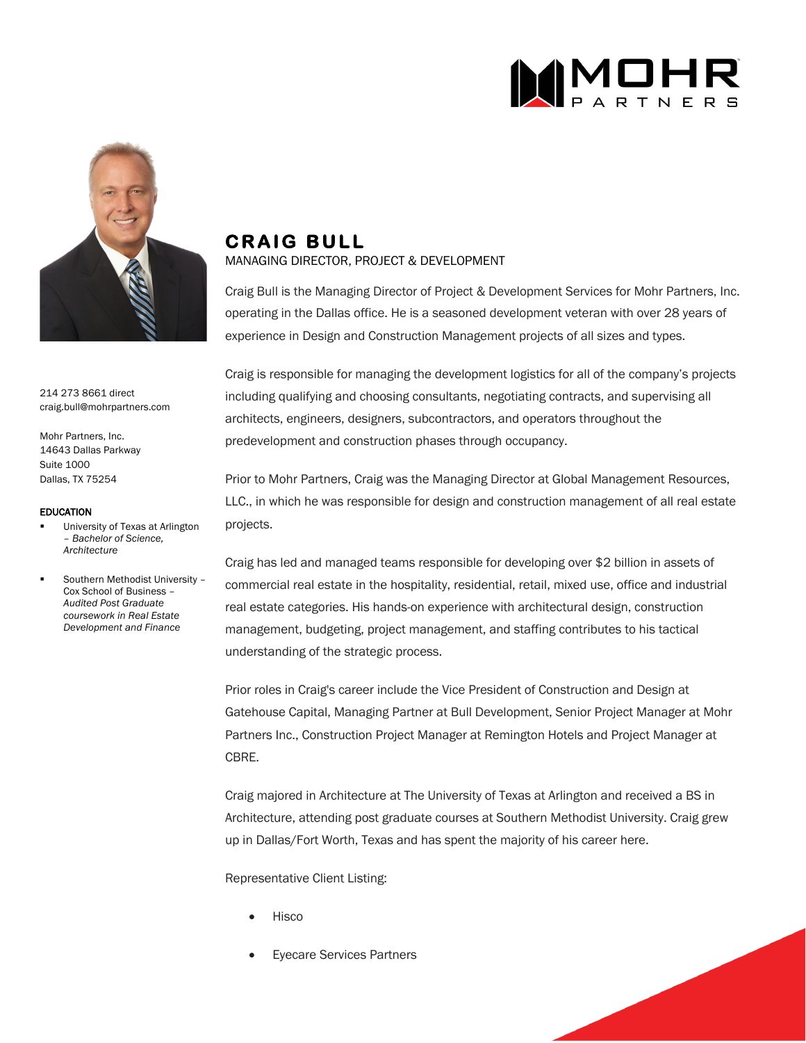



214 273 8661 direct craig.bull@mohrpartners.com

Mohr Partners, Inc. 14643 Dallas Parkway Suite 1000 Dallas, TX 75254

## EDUCATION

- § University of Texas at Arlington – *Bachelor of Science, Architecture*
- § Southern Methodist University Cox School of Business – *Audited Post Graduate coursework in Real Estate Development and Finance*

## **CRAIG BULL**

## MANAGING DIRECTOR, PROJECT & DEVELOPMENT

Craig Bull is the Managing Director of Project & Development Services for Mohr Partners, Inc. operating in the Dallas office. He is a seasoned development veteran with over 28 years of experience in Design and Construction Management projects of all sizes and types.

Craig is responsible for managing the development logistics for all of the company's projects including qualifying and choosing consultants, negotiating contracts, and supervising all architects, engineers, designers, subcontractors, and operators throughout the predevelopment and construction phases through occupancy.

Prior to Mohr Partners, Craig was the Managing Director at Global Management Resources, LLC., in which he was responsible for design and construction management of all real estate projects.

Craig has led and managed teams responsible for developing over \$2 billion in assets of commercial real estate in the hospitality, residential, retail, mixed use, office and industrial real estate categories. His hands-on experience with architectural design, construction management, budgeting, project management, and staffing contributes to his tactical understanding of the strategic process.

Prior roles in Craig's career include the Vice President of Construction and Design at Gatehouse Capital, Managing Partner at Bull Development, Senior Project Manager at Mohr Partners Inc., Construction Project Manager at Remington Hotels and Project Manager at CBRE.

Craig majored in Architecture at The University of Texas at Arlington and received a BS in Architecture, attending post graduate courses at Southern Methodist University. Craig grew up in Dallas/Fort Worth, Texas and has spent the majority of his career here.

Representative Client Listing:

- Hisco
- Eyecare Services Partners